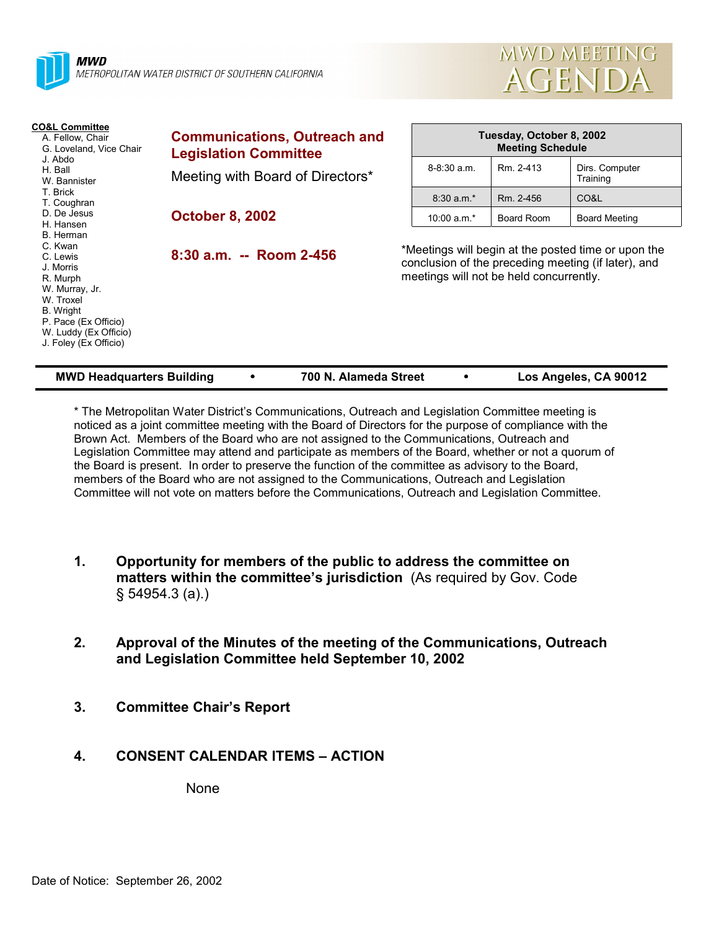



| <b>CO&amp;L Committee</b><br>A. Fellow, Chair<br>G. Loveland, Vice Chair<br>J. Abdo<br>H. Ball<br>W. Bannister                                                                  | <b>Communications, Outreach and</b><br><b>Legislation Committee</b> | Tuesday, October 8, 2002<br><b>Meeting Schedule</b>                                                                                                   |            |                            |  |
|---------------------------------------------------------------------------------------------------------------------------------------------------------------------------------|---------------------------------------------------------------------|-------------------------------------------------------------------------------------------------------------------------------------------------------|------------|----------------------------|--|
|                                                                                                                                                                                 | Meeting with Board of Directors*                                    | $8-8:30$ a.m.                                                                                                                                         | Rm. 2-413  | Dirs. Computer<br>Training |  |
| T. Brick<br>T. Coughran                                                                                                                                                         |                                                                     | $8:30 a.m.*$                                                                                                                                          | Rm. 2-456  | CO&L                       |  |
| D. De Jesus<br>H. Hansen                                                                                                                                                        | <b>October 8, 2002</b>                                              | 10:00 $a.m.*$                                                                                                                                         | Board Room | <b>Board Meeting</b>       |  |
| B. Herman<br>C. Kwan<br>C. Lewis<br>J. Morris<br>R. Murph<br>W. Murray, Jr.<br>W. Troxel<br>B. Wright<br>P. Pace (Ex Officio)<br>W. Luddy (Ex Officio)<br>J. Foley (Ex Officio) | $8:30$ a.m. -- Room 2-456                                           | *Meetings will begin at the posted time or upon the<br>conclusion of the preceding meeting (if later), and<br>meetings will not be held concurrently. |            |                            |  |

| <b>MWD Headquarters Building</b> |  | 700 N. Alameda Street |  | Los Angeles, CA 90012 |
|----------------------------------|--|-----------------------|--|-----------------------|
|----------------------------------|--|-----------------------|--|-----------------------|

\* The Metropolitan Water Districtís Communications, Outreach and Legislation Committee meeting is noticed as a joint committee meeting with the Board of Directors for the purpose of compliance with the Brown Act. Members of the Board who are not assigned to the Communications, Outreach and Legislation Committee may attend and participate as members of the Board, whether or not a quorum of the Board is present. In order to preserve the function of the committee as advisory to the Board, members of the Board who are not assigned to the Communications, Outreach and Legislation Committee will not vote on matters before the Communications, Outreach and Legislation Committee.

- **1. Opportunity for members of the public to address the committee on matters within the committee's jurisdiction** (As required by Gov. Code ß 54954.3 (a).)
- **2. Approval of the Minutes of the meeting of the Communications, Outreach and Legislation Committee held September 10, 2002**
- **3. Committee Chairís Report**
- **4. CONSENT CALENDAR ITEMS ACTION**

None